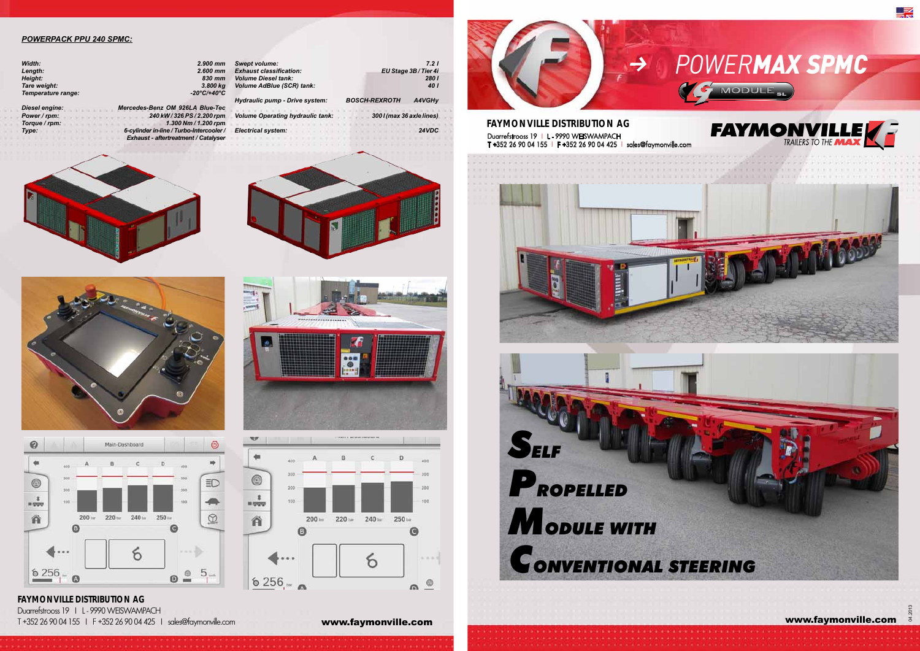**FAYMONVILLE DISTRIBUTION AG** Duarrefstrooss 19 | L - 9990 WEISWAMPACH

T +352 26 90 04 155 I F +352 26 90 04 425 I sales@faymonville.com **www.faymonville.com** 



 $\ddot{\bullet}$ 

contracto a constitution of the contractor



#### *POWERPACK PPU 240 SPMC:*

| Width:             | 2.900 mm    |
|--------------------|-------------|
| Length:            | $2.600$ mm  |
| Height:            | 830 mm      |
| Tare weight:       | 3.800 kg    |
| Temperature range: | -20°C/+40°C |
|                    |             |

*Diesel engine: Mercedes-Benz OM 926LA Blue-Tec Power / rpm: 240 kW / 326 PS / 2.200 rpm Torque / rpm:* 1.300 Nm / 1.200 rpm<br>
Type: 6-cylinder in-line / Turbo-Intercooler / *Type: 6-cylinder in-line / Turbo-Intercooler / Exhaust - aftertreatment / Catalyser*







| <b>Swept volume:</b><br><b>Exhaust classification:</b>         |                       | 7.21                |
|----------------------------------------------------------------|-----------------------|---------------------|
| <b>Volume Diesel tank:</b><br><b>Volume AdBlue (SCR) tank:</b> | EU Stage 3B / Tier 4i | <b>2801</b><br>40 I |
| Hydraulic pump - Drive system:                                 | <b>BOSCH-REXROTH</b>  | A4VGHy              |
|                                                                |                       |                     |

*Volume Operating hydraulic tank: 300 l (max 36 axle lines)*

**No.** 

 $\circledcirc$ 

 $\frac{1}{1.550}$ 

谷

200

100

 $6256 -$ 

 $200 =$ 

A

220 im

 $240m$ 

6

250 in

 $\bullet$ 

 $-0.001$ 

 $\Omega$